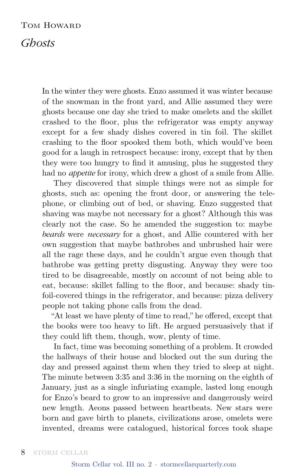## Tom Howard

## *Ghosts*

In the winter they were ghosts. Enzo assumed it was winter because of the snowman in the front yard, and Allie assumed they were ghosts because one day she tried to make omelets and the skillet crashed to the floor, plus the refrigerator was empty anyway except for a few shady dishes covered in tin foil. The skillet crashing to the floor spooked them both, which would've been good for a laugh in retrospect because: irony, except that by then they were too hungry to find it amusing, plus he suggested they had no *appetite* for irony, which drew a ghost of a smile from Allie.

They discovered that simple things were not as simple for ghosts, such as: opening the front door, or answering the telephone, or climbing out of bed, or shaving. Enzo suggested that shaving was maybe not necessary for a ghost? Although this was clearly not the case. So he amended the suggestion to: maybe *beards* were *necessary* for a ghost, and Allie countered with her own suggestion that maybe bathrobes and unbrushed hair were all the rage these days, and he couldn't argue even though that bathrobe was getting pretty disgusting. Anyway they were too tired to be disagreeable, mostly on account of not being able to eat, because: skillet falling to the floor, and because: shady tinfoil-covered things in the refrigerator, and because: pizza delivery people not taking phone calls from the dead.

"At least we have plenty of time to read," he offered, except that the books were too heavy to lift. He argued persuasively that if they could lift them, though, wow, plenty of time.

In fact, time was becoming something of a problem. It crowded the hallways of their house and blocked out the sun during the day and pressed against them when they tried to sleep at night. The minute between 3:35 and 3:36 in the morning on the eighth of January, just as a single infuriating example, lasted long enough for Enzo's beard to grow to an impressive and dangerously weird new length. Aeons passed between heartbeats. New stars were born and gave birth to planets, civilizations arose, omelets were invented, dreams were catalogued, historical forces took shape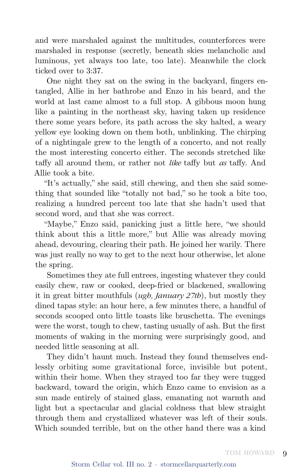and were marshaled against the multitudes, counterforces were marshaled in response (secretly, beneath skies melancholic and luminous, yet always too late, too late). Meanwhile the clock ticked over to 3:37.

One night they sat on the swing in the backyard, fingers entangled, Allie in her bathrobe and Enzo in his beard, and the world at last came almost to a full stop. A gibbous moon hung like a painting in the northeast sky, having taken up residence there some years before, its path across the sky halted, a weary yellow eye looking down on them both, unblinking. The chirping of a nightingale grew to the length of a concerto, and not really the most interesting concerto either. The seconds stretched like taffy all around them, or rather not *like* taffy but *as* taffy. And Allie took a bite.

"It's actually," she said, still chewing, and then she said something that sounded like "totally not bad," so he took a bite too, realizing a hundred percent too late that she hadn't used that second word, and that she was correct.

"Maybe," Enzo said, panicking just a little here, "we should think about this a little more," but Allie was already moving ahead, devouring, clearing their path. He joined her warily. There was just really no way to get to the next hour otherwise, let alone the spring.

Sometimes they ate full entrees, ingesting whatever they could easily chew, raw or cooked, deep-fried or blackened, swallowing it in great bitter mouthfuls (*ugh, January 27th*), but mostly they dined tapas style: an hour here, a few minutes there, a handful of seconds scooped onto little toasts like bruschetta. The evenings were the worst, tough to chew, tasting usually of ash. But the first moments of waking in the morning were surprisingly good, and needed little seasoning at all.

They didn't haunt much. Instead they found themselves endlessly orbiting some gravitational force, invisible but potent, within their home. When they strayed too far they were tugged backward, toward the origin, which Enzo came to envision as a sun made entirely of stained glass, emanating not warmth and light but a spectacular and glacial coldness that blew straight through them and crystallized whatever was left of their souls. Which sounded terrible, but on the other hand there was a kind